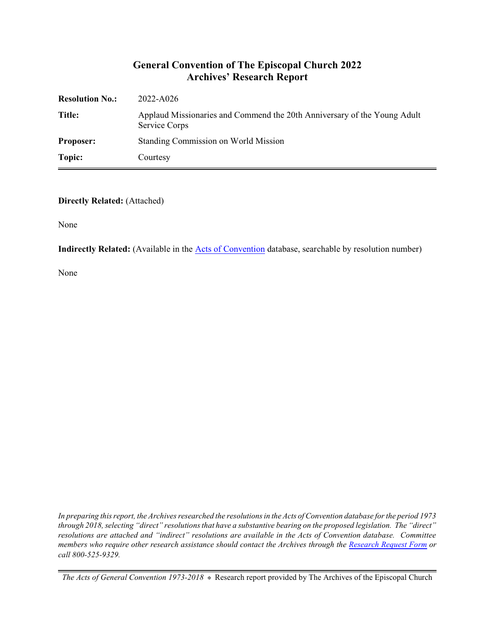#### **General Convention of The Episcopal Church 2022 Archives' Research Report**

| <b>Resolution No.:</b> | 2022-A026                                                                                 |
|------------------------|-------------------------------------------------------------------------------------------|
| Title:                 | Applaud Missionaries and Commend the 20th Anniversary of the Young Adult<br>Service Corps |
| <b>Proposer:</b>       | Standing Commission on World Mission                                                      |
| Topic:                 | Courtesy                                                                                  |

#### **Directly Related:** (Attached)

None

**Indirectly Related:** (Available in the [Acts of Convention](https://www.episcopalarchives.org/e-archives/acts/) database, searchable by resolution number)

None

*In preparing this report, the Archives researched the resolutions in the Acts of Convention database for the period 1973 through 2018, selecting "direct" resolutions that have a substantive bearing on the proposed legislation. The "direct" resolutions are attached and "indirect" resolutions are available in the Acts of Convention database. Committee members who require other research assistance should contact the Archives through the Research [Request Form](https://www.episcopalarchives.org/contact/research-request-form) or call 800-525-9329.*

*The Acts of General Convention 1973-2018*  $*$  Research report provided by The Archives of the Episcopal Church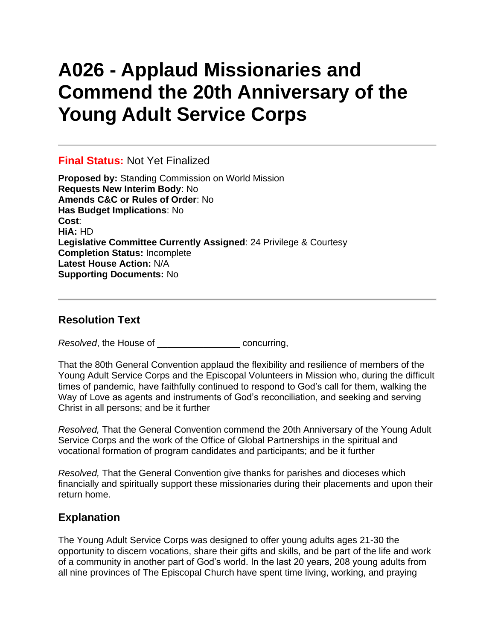# **A026 - Applaud Missionaries and Commend the 20th Anniversary of the Young Adult Service Corps**

### **Final Status:** Not Yet Finalized

**Proposed by:** Standing Commission on World Mission **Requests New Interim Body**: No **Amends C&C or Rules of Order**: No **Has Budget Implications**: No **Cost**: **HiA:** HD **Legislative Committee Currently Assigned**: 24 Privilege & Courtesy **Completion Status:** Incomplete **Latest House Action:** N/A **Supporting Documents:** No

### **Resolution Text**

*Resolved*, the House of \_\_\_\_\_\_\_\_\_\_\_\_\_\_\_\_ concurring,

That the 80th General Convention applaud the flexibility and resilience of members of the Young Adult Service Corps and the Episcopal Volunteers in Mission who, during the difficult times of pandemic, have faithfully continued to respond to God's call for them, walking the Way of Love as agents and instruments of God's reconciliation, and seeking and serving Christ in all persons; and be it further

*Resolved,* That the General Convention commend the 20th Anniversary of the Young Adult Service Corps and the work of the Office of Global Partnerships in the spiritual and vocational formation of program candidates and participants; and be it further

*Resolved,* That the General Convention give thanks for parishes and dioceses which financially and spiritually support these missionaries during their placements and upon their return home.

## **Explanation**

The Young Adult Service Corps was designed to offer young adults ages 21-30 the opportunity to discern vocations, share their gifts and skills, and be part of the life and work of a community in another part of God's world. In the last 20 years, 208 young adults from all nine provinces of The Episcopal Church have spent time living, working, and praying